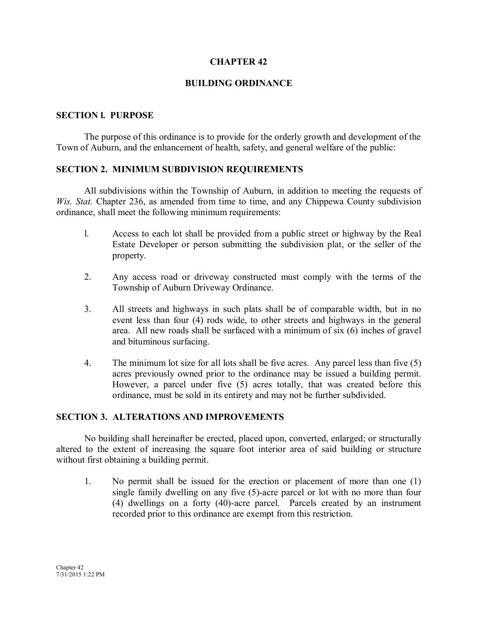# **CHAPTER 42**

# **BUILDING ORDINANCE**

## **SECTION l. PURPOSE**

The purpose of this ordinance is to provide for the orderly growth and development of the Town of Auburn, and the enhancement of health, safety, and general welfare of the public:

## **SECTION 2. MINIMUM SUBDIVISION REQUIREMENTS**

All subdivisions within the Township of Auburn, in addition to meeting the requests of *Wis. Stat.* Chapter 236, as amended from time to time, and any Chippewa County subdivision ordinance, shall meet the following minimum requirements:

- l. Access to each lot shall be provided from a public street or highway by the Real Estate Developer or person submitting the subdivision plat, or the seller of the property.
- 2. Any access road or driveway constructed must comply with the terms of the Township of Auburn Driveway Ordinance.
- 3. All streets and highways in such plats shall be of comparable width, but in no event less than four (4) rods wide, to other streets and highways in the general area. All new roads shall be surfaced with a minimum of six (6) inches of gravel and bituminous surfacing.
- 4. The minimum lot size for all lots shall be five acres. Any parcel less than five (5) acres previously owned prior to the ordinance may be issued a building permit. However, a parcel under five (5) acres totally, that was created before this ordinance, must be sold in its entirety and may not be further subdivided.

## **SECTION 3. ALTERATIONS AND IMPROVEMENTS**

No building shall hereinafter be erected, placed upon, converted, enlarged; or structurally altered to the extent of increasing the square foot interior area of said building or structure without first obtaining a building permit.

1. No permit shall be issued for the erection or placement of more than one (1) single family dwelling on any five (5)-acre parcel or lot with no more than four (4) dwellings on a forty (40)-acre parcel. Parcels created by an instrument recorded prior to this ordinance are exempt from this restriction.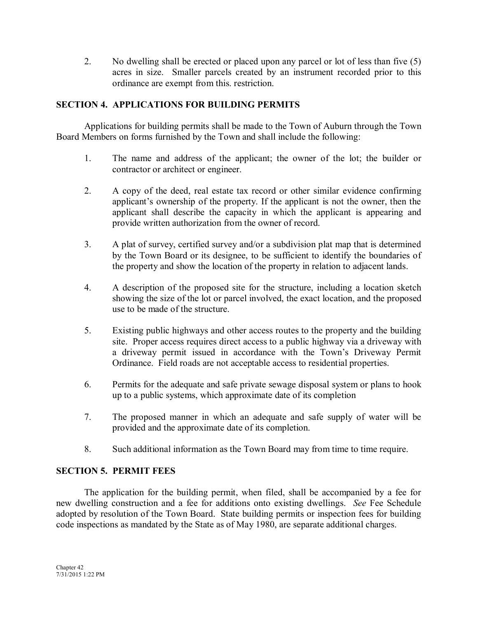2. No dwelling shall be erected or placed upon any parcel or lot of less than five (5) acres in size. Smaller parcels created by an instrument recorded prior to this ordinance are exempt from this. restriction.

# **SECTION 4. APPLICATIONS FOR BUILDING PERMITS**

Applications for building permits shall be made to the Town of Auburn through the Town Board Members on forms furnished by the Town and shall include the following:

- 1. The name and address of the applicant; the owner of the lot; the builder or contractor or architect or engineer.
- 2. A copy of the deed, real estate tax record or other similar evidence confirming applicant's ownership of the property. If the applicant is not the owner, then the applicant shall describe the capacity in which the applicant is appearing and provide written authorization from the owner of record.
- 3. A plat of survey, certified survey and/or a subdivision plat map that is determined by the Town Board or its designee, to be sufficient to identify the boundaries of the property and show the location of the property in relation to adjacent lands.
- 4. A description of the proposed site for the structure, including a location sketch showing the size of the lot or parcel involved, the exact location, and the proposed use to be made of the structure.
- 5. Existing public highways and other access routes to the property and the building site. Proper access requires direct access to a public highway via a driveway with a driveway permit issued in accordance with the Town's Driveway Permit Ordinance. Field roads are not acceptable access to residential properties.
- 6. Permits for the adequate and safe private sewage disposal system or plans to hook up to a public systems, which approximate date of its completion
- 7. The proposed manner in which an adequate and safe supply of water will be provided and the approximate date of its completion.
- 8. Such additional information as the Town Board may from time to time require.

# **SECTION 5. PERMIT FEES**

The application for the building permit, when filed, shall be accompanied by a fee for new dwelling construction and a fee for additions onto existing dwellings. *See* Fee Schedule adopted by resolution of the Town Board. State building permits or inspection fees for building code inspections as mandated by the State as of May 1980, are separate additional charges.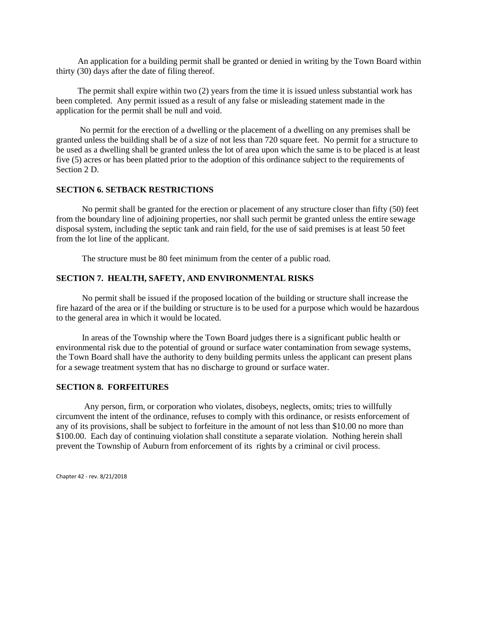An application for a building permit shall be granted or denied in writing by the Town Board within thirty (30) days after the date of filing thereof.

 The permit shall expire within two (2) years from the time it is issued unless substantial work has been completed. Any permit issued as a result of any false or misleading statement made in the application for the permit shall be null and void.

 No permit for the erection of a dwelling or the placement of a dwelling on any premises shall be granted unless the building shall be of a size of not less than 720 square feet. No permit for a structure to be used as a dwelling shall be granted unless the lot of area upon which the same is to be placed is at least five (5) acres or has been platted prior to the adoption of this ordinance subject to the requirements of Section 2 D.

#### **SECTION 6. SETBACK RESTRICTIONS**

 No permit shall be granted for the erection or placement of any structure closer than fifty (50) feet from the boundary line of adjoining properties, nor shall such permit be granted unless the entire sewage disposal system, including the septic tank and rain field, for the use of said premises is at least 50 feet from the lot line of the applicant.

The structure must be 80 feet minimum from the center of a public road.

### **SECTION 7. HEALTH, SAFETY, AND ENVIRONMENTAL RISKS**

 No permit shall be issued if the proposed location of the building or structure shall increase the fire hazard of the area or if the building or structure is to be used for a purpose which would be hazardous to the general area in which it would be located.

 In areas of the Township where the Town Board judges there is a significant public health or environmental risk due to the potential of ground or surface water contamination from sewage systems, the Town Board shall have the authority to deny building permits unless the applicant can present plans for a sewage treatment system that has no discharge to ground or surface water.

### **SECTION 8. FORFEITURES**

 Any person, firm, or corporation who violates, disobeys, neglects, omits; tries to willfully circumvent the intent of the ordinance, refuses to comply with this ordinance, or resists enforcement of any of its provisions, shall be subject to forfeiture in the amount of not less than \$10.00 no more than \$100.00. Each day of continuing violation shall constitute a separate violation. Nothing herein shall prevent the Township of Auburn from enforcement of its rights by a criminal or civil process.

Chapter 42 - rev. 8/21/2018